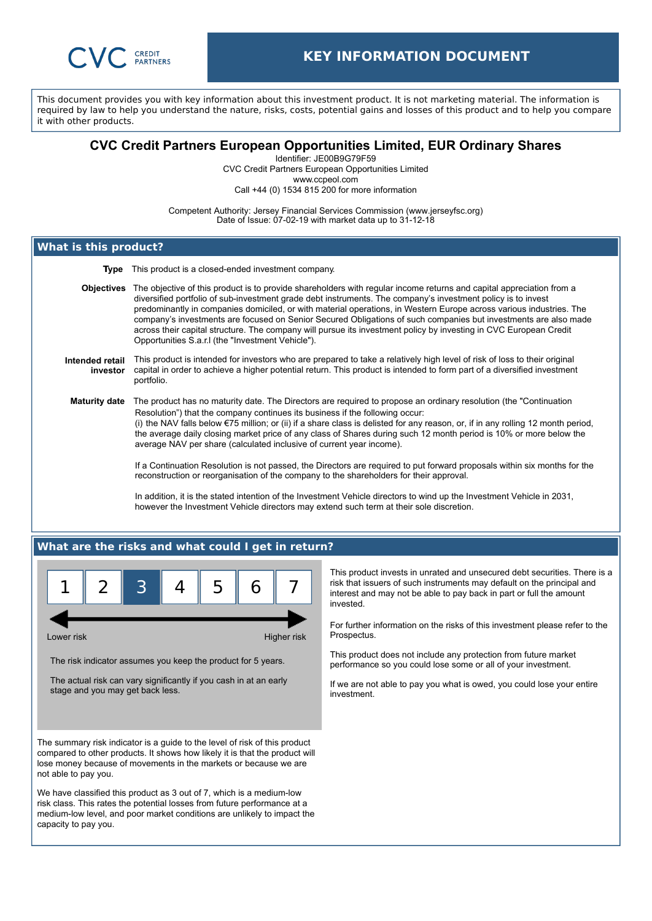

This document provides you with key information about this investment product. It is not marketing material. The information is required by law to help you understand the nature, risks, costs, potential gains and losses of this product and to help you compare it with other products.

# **CVC Credit Partners European Opportunities Limited, EUR Ordinary Shares**

Identifier: JE00B9G79F59 CVC Credit Partners European Opportunities Limited www.ccpeol.com

Call +44 (0) 1534 815 200 for more information

Competent Authority: Jersey Financial Services Commission (www.jerseyfsc.org) Date of Issue: 07-02-19 with market data up to 31-12-18

# **What is this product?**

**Type** This product is a closed-ended investment company.

 **Objectives** The objective of this product is to provide shareholders with regular income returns and capital appreciation from a diversified portfolio of sub-investment grade debt instruments. The company's investment policy is to invest predominantly in companies domiciled, or with material operations, in Western Europe across various industries. The company's investments are focused on Senior Secured Obligations of such companies but investments are also made across their capital structure. The company will pursue its investment policy by investing in CVC European Credit Opportunities S.a.r.l (the "Investment Vehicle").

#### **Intended retail investor** This product is intended for investors who are prepared to take a relatively high level of risk of loss to their original capital in order to achieve a higher potential return. This product is intended to form part of a diversified investment portfolio.

**Maturity date** The product has no maturity date. The Directors are required to propose an ordinary resolution (the "Continuation Resolution") that the company continues its business if the following occur: (i) the NAV falls below €75 million; or (ii) if a share class is delisted for any reason, or, if in any rolling 12 month period, the average daily closing market price of any class of Shares during such 12 month period is 10% or more below the average NAV per share (calculated inclusive of current year income).

> If a Continuation Resolution is not passed, the Directors are required to put forward proposals within six months for the reconstruction or reorganisation of the company to the shareholders for their approval.

In addition, it is the stated intention of the Investment Vehicle directors to wind up the Investment Vehicle in 2031, however the Investment Vehicle directors may extend such term at their sole discretion.

## **What are the risks and what could I get in return?**



Lower risk **Higher risk** Higher risk **Higher risk** 

The risk indicator assumes you keep the product for 5 years.

The actual risk can vary significantly if you cash in at an early stage and you may get back less.

The summary risk indicator is a guide to the level of risk of this product compared to other products. It shows how likely it is that the product will lose money because of movements in the markets or because we are not able to pay you.

We have classified this product as 3 out of 7, which is a medium-low risk class. This rates the potential losses from future performance at a medium-low level, and poor market conditions are unlikely to impact the capacity to pay you.

This product invests in unrated and unsecured debt securities. There is a risk that issuers of such instruments may default on the principal and interest and may not be able to pay back in part or full the amount invested.

For further information on the risks of this investment please refer to the Prospectus.

This product does not include any protection from future market performance so you could lose some or all of your investment.

If we are not able to pay you what is owed, you could lose your entire investment.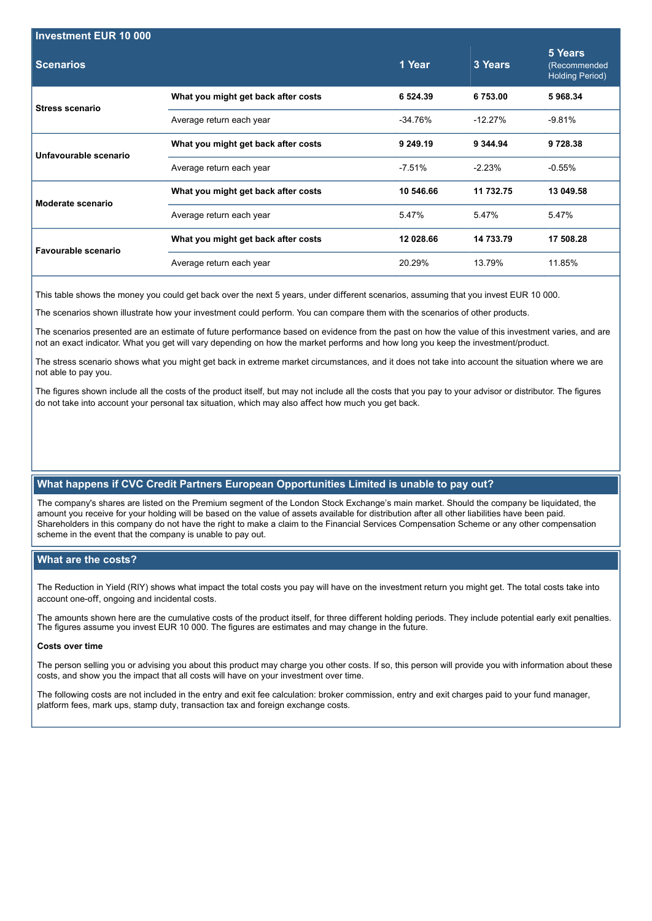| <b>Investment EUR 10 000</b> |                                     |           |           |                                                   |  |  |
|------------------------------|-------------------------------------|-----------|-----------|---------------------------------------------------|--|--|
| <b>Scenarios</b>             |                                     | 1 Year    | 3 Years   | 5 Years<br>(Recommended<br><b>Holding Period)</b> |  |  |
| <b>Stress scenario</b>       | What you might get back after costs | 6 5 24 39 | 6753.00   | 5968.34                                           |  |  |
|                              | Average return each year            | -34.76%   | $-12.27%$ | $-9.81\%$                                         |  |  |
| Unfavourable scenario        | What you might get back after costs | 9 249.19  | 9 344.94  | 9728.38                                           |  |  |
|                              | Average return each year            | $-7.51\%$ | $-2.23%$  | $-0.55%$                                          |  |  |
| Moderate scenario            | What you might get back after costs | 10 546.66 | 11 732.75 | 13 049.58                                         |  |  |
|                              | Average return each year            | 5.47%     | 5.47%     | 5.47%                                             |  |  |
| Favourable scenario          | What you might get back after costs | 12 028.66 | 14 733 79 | 17 508.28                                         |  |  |
|                              | Average return each year            | 20.29%    | 13.79%    | 11.85%                                            |  |  |

This table shows the money you could get back over the next 5 years, under different scenarios, assuming that you invest EUR 10 000.

The scenarios shown illustrate how your investment could perform. You can compare them with the scenarios of other products.

The scenarios presented are an estimate of future performance based on evidence from the past on how the value of this investment varies, and are not an exact indicator. What you get will vary depending on how the market performs and how long you keep the investment/product.

The stress scenario shows what you might get back in extreme market circumstances, and it does not take into account the situation where we are not able to pay you.

The figures shown include all the costs of the product itself, but may not include all the costs that you pay to your advisor or distributor. The figures do not take into account your personal tax situation, which may also affect how much you get back.

## **What happens if CVC Credit Partners European Opportunities Limited is unable to pay out?**

The company's shares are listed on the Premium segment of the London Stock Exchange's main market. Should the company be liquidated, the amount you receive for your holding will be based on the value of assets available for distribution after all other liabilities have been paid. Shareholders in this company do not have the right to make a claim to the Financial Services Compensation Scheme or any other compensation scheme in the event that the company is unable to pay out.

### **What are the costs?**

The Reduction in Yield (RIY) shows what impact the total costs you pay will have on the investment return you might get. The total costs take into account one-off, ongoing and incidental costs.

The amounts shown here are the cumulative costs of the product itself, for three different holding periods. They include potential early exit penalties. The figures assume you invest EUR 10 000. The figures are estimates and may change in the future.

### **Costs over time**

The person selling you or advising you about this product may charge you other costs. If so, this person will provide you with information about these costs, and show you the impact that all costs will have on your investment over time.

The following costs are not included in the entry and exit fee calculation: broker commission, entry and exit charges paid to your fund manager, platform fees, mark ups, stamp duty, transaction tax and foreign exchange costs.